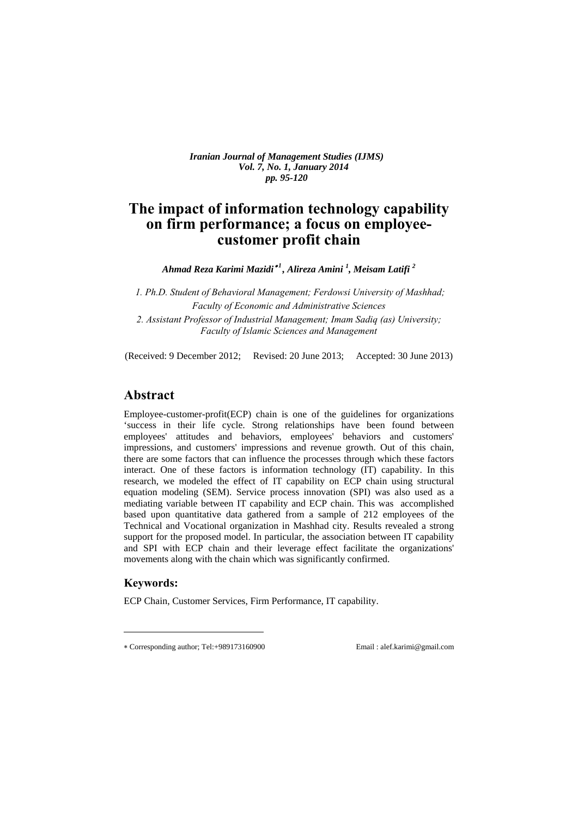*Iranian Journal of Management Studies (IJMS) Vol. 7, No. 1, January 2014 pp. 95-120* 

# **The impact of information technology capability on firm performance; a focus on employeecustomer profit chain**

*Ahmad Reza Karimi Mazidi <sup>1</sup> , Alireza Amini <sup>1</sup> , Meisam Latifi <sup>2</sup>*

*1. ̀Ph.D. Student of Behavioral Management; Ferdowsi University of Mashhad; Faculty of Economic and Administrative Sciences 2. Assistant Professor of Industrial Management; Imam Sadiq (as) University;* 

*Faculty of Islamic Sciences and Management* 

(Received: 9 December 2012; Revised: 20 June 2013; Accepted: 30 June 2013)

# **Abstract**

Employee-customer-profit(ECP) chain is one of the guidelines for organizations 'success in their life cycle. Strong relationships have been found between employees' attitudes and behaviors, employees' behaviors and customers' impressions, and customers' impressions and revenue growth. Out of this chain, there are some factors that can influence the processes through which these factors interact. One of these factors is information technology (IT) capability. In this research, we modeled the effect of IT capability on ECP chain using structural equation modeling (SEM). Service process innovation (SPI) was also used as a mediating variable between IT capability and ECP chain. This was accomplished based upon quantitative data gathered from a sample of 212 employees of the Technical and Vocational organization in Mashhad city. Results revealed a strong support for the proposed model. In particular, the association between IT capability and SPI with ECP chain and their leverage effect facilitate the organizations' movements along with the chain which was significantly confirmed.

### **Keywords:**

 $\overline{a}$ 

ECP Chain, Customer Services, Firm Performance, IT capability.

Corresponding author; Tel:+989173160900 Email : alef.karimi@gmail.com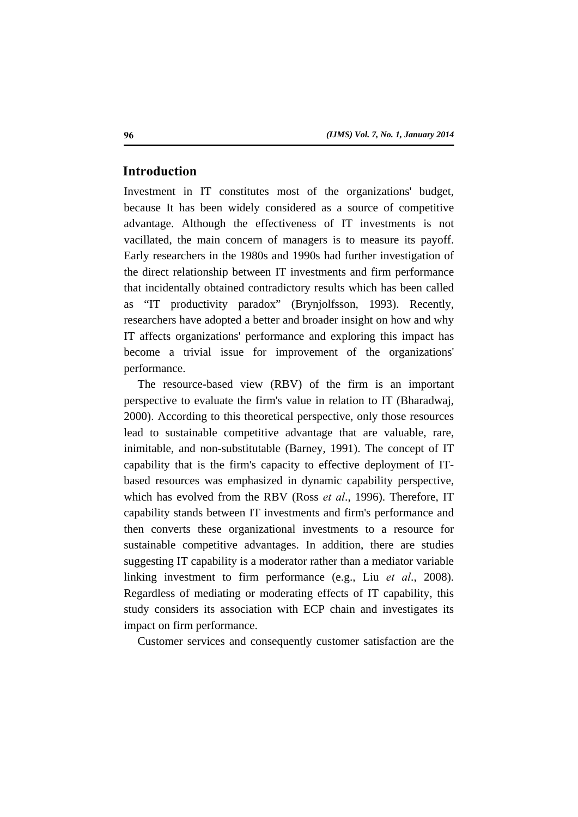# **Introduction**

Investment in IT constitutes most of the organizations' budget, because It has been widely considered as a source of competitive advantage. Although the effectiveness of IT investments is not vacillated, the main concern of managers is to measure its payoff. Early researchers in the 1980s and 1990s had further investigation of the direct relationship between IT investments and firm performance that incidentally obtained contradictory results which has been called as "IT productivity paradox" (Brynjolfsson, 1993). Recently, researchers have adopted a better and broader insight on how and why IT affects organizations' performance and exploring this impact has become a trivial issue for improvement of the organizations' performance.

The resource-based view (RBV) of the firm is an important perspective to evaluate the firm's value in relation to IT (Bharadwaj, 2000). According to this theoretical perspective, only those resources lead to sustainable competitive advantage that are valuable, rare, inimitable, and non-substitutable (Barney, 1991). The concept of IT capability that is the firm's capacity to effective deployment of ITbased resources was emphasized in dynamic capability perspective, which has evolved from the RBV (Ross *et al*., 1996). Therefore, IT capability stands between IT investments and firm's performance and then converts these organizational investments to a resource for sustainable competitive advantages. In addition, there are studies suggesting IT capability is a moderator rather than a mediator variable linking investment to firm performance (e.g., Liu *et al*., 2008). Regardless of mediating or moderating effects of IT capability, this study considers its association with ECP chain and investigates its impact on firm performance.

Customer services and consequently customer satisfaction are the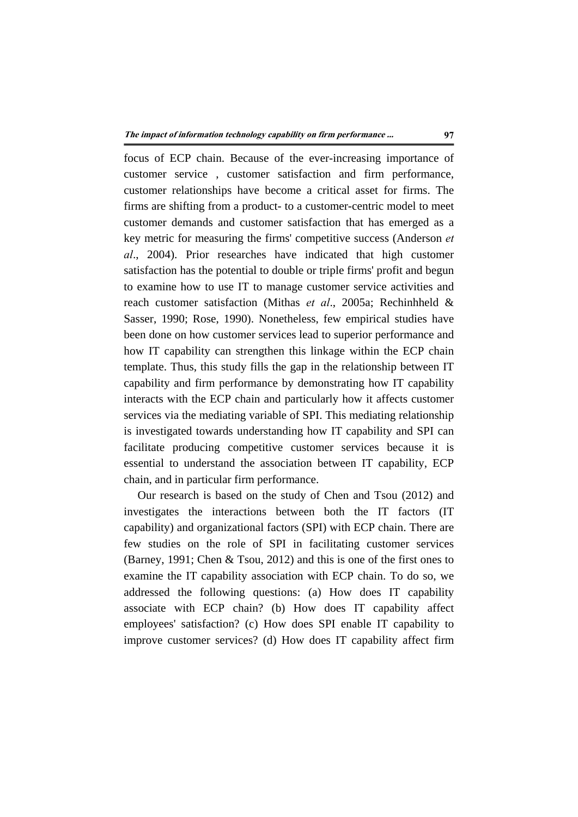focus of ECP chain. Because of the ever-increasing importance of customer service , customer satisfaction and firm performance, customer relationships have become a critical asset for firms. The firms are shifting from a product- to a customer-centric model to meet customer demands and customer satisfaction that has emerged as a key metric for measuring the firms' competitive success (Anderson *et al*., 2004). Prior researches have indicated that high customer satisfaction has the potential to double or triple firms' profit and begun to examine how to use IT to manage customer service activities and reach customer satisfaction (Mithas *et al*., 2005a; Rechinhheld & Sasser, 1990; Rose, 1990). Nonetheless, few empirical studies have been done on how customer services lead to superior performance and how IT capability can strengthen this linkage within the ECP chain template. Thus, this study fills the gap in the relationship between IT capability and firm performance by demonstrating how IT capability interacts with the ECP chain and particularly how it affects customer services via the mediating variable of SPI. This mediating relationship is investigated towards understanding how IT capability and SPI can facilitate producing competitive customer services because it is essential to understand the association between IT capability, ECP chain, and in particular firm performance.

Our research is based on the study of Chen and Tsou (2012) and investigates the interactions between both the IT factors (IT capability) and organizational factors (SPI) with ECP chain. There are few studies on the role of SPI in facilitating customer services (Barney, 1991; Chen & Tsou, 2012) and this is one of the first ones to examine the IT capability association with ECP chain. To do so, we addressed the following questions: (a) How does IT capability associate with ECP chain? (b) How does IT capability affect employees' satisfaction? (c) How does SPI enable IT capability to improve customer services? (d) How does IT capability affect firm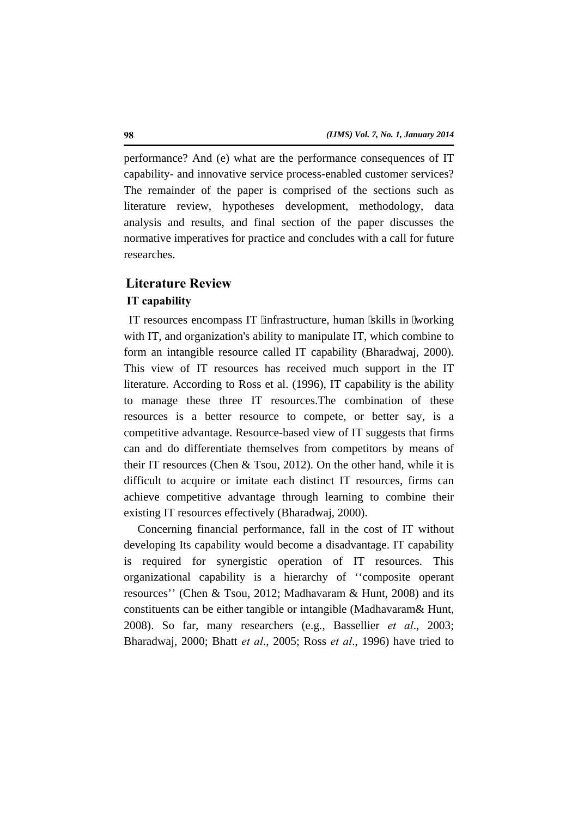performance? And (e) what are the performance consequences of IT capability- and innovative service process-enabled customer services? The remainder of the paper is comprised of the sections such as literature review, hypotheses development, methodology, data analysis and results, and final section of the paper discusses the normative imperatives for practice and concludes with a call for future researches.

## **Literature Review**

#### **IT capability**

IT resources encompass IT "infrastructure, human "skills in "working" with IT, and organization's ability to manipulate IT, which combine to form an intangible resource called IT capability (Bharadwaj, 2000). This view of IT resources has received much support in the IT literature. According to Ross et al. (1996), IT capability is the ability to manage these three IT resources.The combination of these resources is a better resource to compete, or better say, is a competitive advantage. Resource-based view of IT suggests that firms can and do differentiate themselves from competitors by means of their IT resources (Chen & Tsou, 2012). On the other hand, while it is difficult to acquire or imitate each distinct IT resources, firms can achieve competitive advantage through learning to combine their existing IT resources effectively (Bharadwaj, 2000).

Concerning financial performance, fall in the cost of IT without developing Its capability would become a disadvantage. IT capability is required for synergistic operation of IT resources. This organizational capability is a hierarchy of ''composite operant resources'' (Chen & Tsou, 2012; Madhavaram & Hunt, 2008) and its constituents can be either tangible or intangible (Madhavaram& Hunt, 2008). So far, many researchers (e.g., Bassellier *et al*., 2003; Bharadwaj, 2000; Bhatt *et al*., 2005; Ross *et al*., 1996) have tried to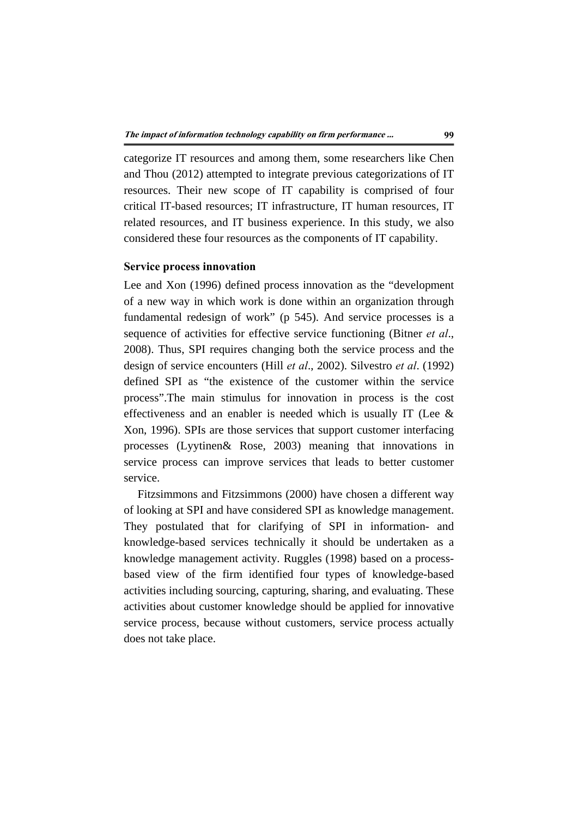categorize IT resources and among them, some researchers like Chen and Thou (2012) attempted to integrate previous categorizations of IT resources. Their new scope of IT capability is comprised of four critical IT-based resources; IT infrastructure, IT human resources, IT related resources, and IT business experience. In this study, we also considered these four resources as the components of IT capability.

#### **Service process innovation**

Lee and Xon (1996) defined process innovation as the "development of a new way in which work is done within an organization through fundamental redesign of work" (p 545). And service processes is a sequence of activities for effective service functioning (Bitner *et al*., 2008). Thus, SPI requires changing both the service process and the design of service encounters (Hill *et al*., 2002). Silvestro *et al*. (1992) defined SPI as "the existence of the customer within the service process".The main stimulus for innovation in process is the cost effectiveness and an enabler is needed which is usually IT (Lee & Xon, 1996). SPIs are those services that support customer interfacing processes (Lyytinen& Rose, 2003) meaning that innovations in service process can improve services that leads to better customer service.

Fitzsimmons and Fitzsimmons (2000) have chosen a different way of looking at SPI and have considered SPI as knowledge management. They postulated that for clarifying of SPI in information- and knowledge-based services technically it should be undertaken as a knowledge management activity. Ruggles (1998) based on a processbased view of the firm identified four types of knowledge-based activities including sourcing, capturing, sharing, and evaluating. These activities about customer knowledge should be applied for innovative service process, because without customers, service process actually does not take place.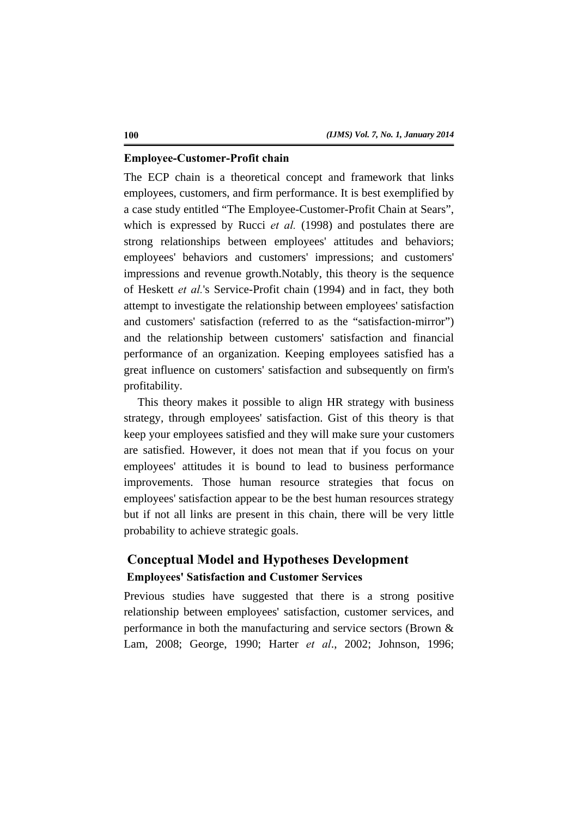#### **Employee-Customer-Profit chain**

The ECP chain is a theoretical concept and framework that links employees, customers, and firm performance. It is best exemplified by a case study entitled "The Employee-Customer-Profit Chain at Sears", which is expressed by Rucci *et al.* (1998) and postulates there are strong relationships between employees' attitudes and behaviors; employees' behaviors and customers' impressions; and customers' impressions and revenue growth.Notably, this theory is the sequence of Heskett *et al.*'s Service-Profit chain (1994) and in fact, they both attempt to investigate the relationship between employees' satisfaction and customers' satisfaction (referred to as the "satisfaction-mirror") and the relationship between customers' satisfaction and financial performance of an organization. Keeping employees satisfied has a great influence on customers' satisfaction and subsequently on firm's profitability.

This theory makes it possible to align HR strategy with business strategy, through employees' satisfaction. Gist of this theory is that keep your employees satisfied and they will make sure your customers are satisfied. However, it does not mean that if you focus on your employees' attitudes it is bound to lead to business performance improvements. Those human resource strategies that focus on employees' satisfaction appear to be the best human resources strategy but if not all links are present in this chain, there will be very little probability to achieve strategic goals.

# **Conceptual Model and Hypotheses Development Employees' Satisfaction and Customer Services**

Previous studies have suggested that there is a strong positive relationship between employees' satisfaction, customer services, and performance in both the manufacturing and service sectors (Brown & Lam, 2008; George, 1990; Harter *et al*., 2002; Johnson, 1996;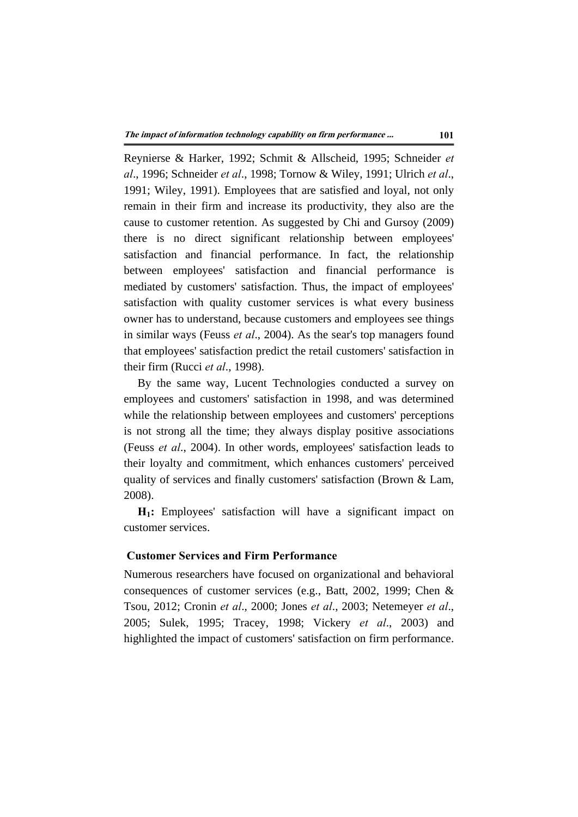Reynierse & Harker, 1992; Schmit & Allscheid, 1995; Schneider *et al*., 1996; Schneider *et al*., 1998; Tornow & Wiley, 1991; Ulrich *et al*., 1991; Wiley, 1991). Employees that are satisfied and loyal, not only remain in their firm and increase its productivity, they also are the cause to customer retention. As suggested by Chi and Gursoy (2009) there is no direct significant relationship between employees' satisfaction and financial performance. In fact, the relationship between employees' satisfaction and financial performance is mediated by customers' satisfaction. Thus, the impact of employees' satisfaction with quality customer services is what every business owner has to understand, because customers and employees see things in similar ways (Feuss *et al*., 2004). As the sear's top managers found that employees' satisfaction predict the retail customers' satisfaction in their firm (Rucci *et al*., 1998).

By the same way, Lucent Technologies conducted a survey on employees and customers' satisfaction in 1998, and was determined while the relationship between employees and customers' perceptions is not strong all the time; they always display positive associations (Feuss *et al*., 2004). In other words, employees' satisfaction leads to their loyalty and commitment, which enhances customers' perceived quality of services and finally customers' satisfaction (Brown & Lam, 2008).

**H1:** Employees' satisfaction will have a significant impact on customer services.

#### **Customer Services and Firm Performance**

Numerous researchers have focused on organizational and behavioral consequences of customer services (e.g., Batt, 2002, 1999; Chen & Tsou, 2012; Cronin *et al*., 2000; Jones *et al*., 2003; Netemeyer *et al*., 2005; Sulek, 1995; Tracey, 1998; Vickery *et al*., 2003) and highlighted the impact of customers' satisfaction on firm performance.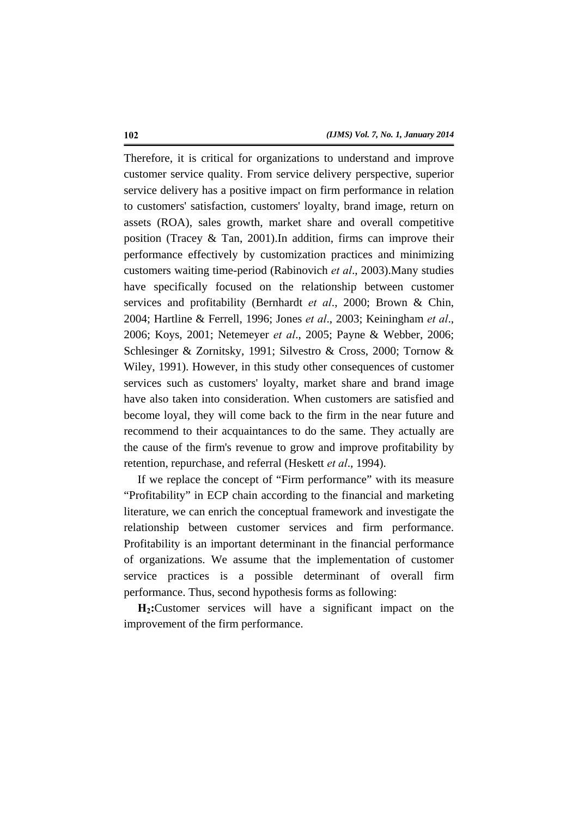Therefore, it is critical for organizations to understand and improve customer service quality. From service delivery perspective, superior service delivery has a positive impact on firm performance in relation to customers' satisfaction, customers' loyalty, brand image, return on assets (ROA), sales growth, market share and overall competitive position (Tracey & Tan, 2001).In addition, firms can improve their performance effectively by customization practices and minimizing customers waiting time-period (Rabinovich *et al*., 2003).Many studies have specifically focused on the relationship between customer services and profitability (Bernhardt *et al*., 2000; Brown & Chin, 2004; Hartline & Ferrell, 1996; Jones *et al*., 2003; Keiningham *et al*., 2006; Koys, 2001; Netemeyer *et al*., 2005; Payne & Webber, 2006; Schlesinger & Zornitsky, 1991; Silvestro & Cross, 2000; Tornow & Wiley, 1991). However, in this study other consequences of customer services such as customers' loyalty, market share and brand image have also taken into consideration. When customers are satisfied and become loyal, they will come back to the firm in the near future and recommend to their acquaintances to do the same. They actually are the cause of the firm's revenue to grow and improve profitability by retention, repurchase, and referral (Heskett *et al*., 1994).

If we replace the concept of "Firm performance" with its measure "Profitability" in ECP chain according to the financial and marketing literature, we can enrich the conceptual framework and investigate the relationship between customer services and firm performance. Profitability is an important determinant in the financial performance of organizations. We assume that the implementation of customer service practices is a possible determinant of overall firm performance. Thus, second hypothesis forms as following:

**H2:**Customer services will have a significant impact on the improvement of the firm performance.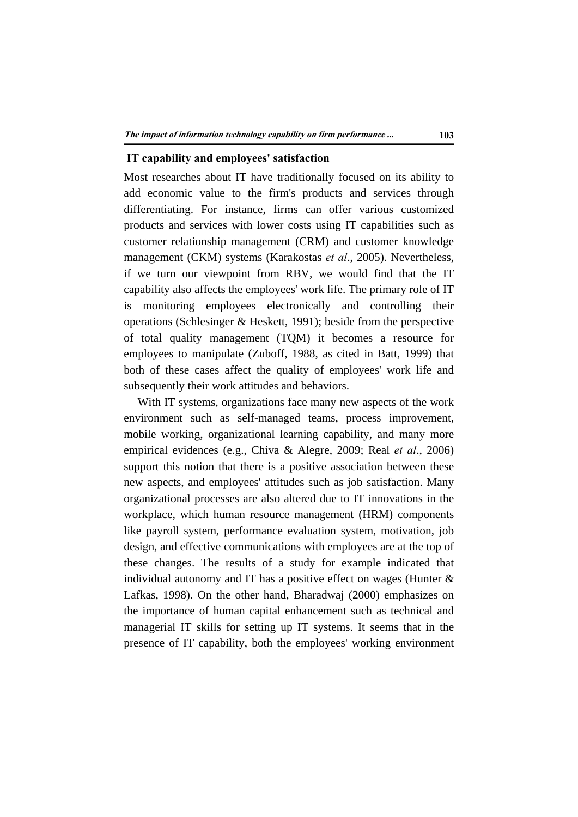### **IT capability and employees' satisfaction**

Most researches about IT have traditionally focused on its ability to add economic value to the firm's products and services through differentiating. For instance, firms can offer various customized products and services with lower costs using IT capabilities such as customer relationship management (CRM) and customer knowledge management (CKM) systems (Karakostas *et al*., 2005). Nevertheless, if we turn our viewpoint from RBV, we would find that the IT capability also affects the employees' work life. The primary role of IT is monitoring employees electronically and controlling their operations (Schlesinger & Heskett, 1991); beside from the perspective of total quality management (TQM) it becomes a resource for employees to manipulate (Zuboff, 1988, as cited in Batt, 1999) that both of these cases affect the quality of employees' work life and subsequently their work attitudes and behaviors.

With IT systems, organizations face many new aspects of the work environment such as self-managed teams, process improvement, mobile working, organizational learning capability, and many more empirical evidences (e.g., Chiva & Alegre, 2009; Real *et al*., 2006) support this notion that there is a positive association between these new aspects, and employees' attitudes such as job satisfaction. Many organizational processes are also altered due to IT innovations in the workplace, which human resource management (HRM) components like payroll system, performance evaluation system, motivation, job design, and effective communications with employees are at the top of these changes. The results of a study for example indicated that individual autonomy and IT has a positive effect on wages (Hunter & Lafkas, 1998). On the other hand, Bharadwaj (2000) emphasizes on the importance of human capital enhancement such as technical and managerial IT skills for setting up IT systems. It seems that in the presence of IT capability, both the employees' working environment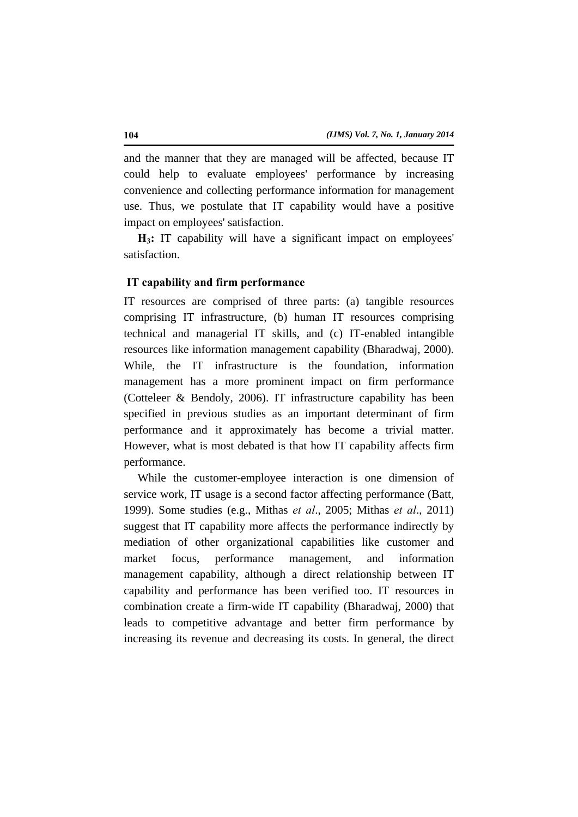and the manner that they are managed will be affected, because IT could help to evaluate employees' performance by increasing convenience and collecting performance information for management use. Thus, we postulate that IT capability would have a positive impact on employees' satisfaction.

**H3:** IT capability will have a significant impact on employees' satisfaction.

#### **IT capability and firm performance**

IT resources are comprised of three parts: (a) tangible resources comprising IT infrastructure, (b) human IT resources comprising technical and managerial IT skills, and (c) IT-enabled intangible resources like information management capability (Bharadwaj, 2000). While, the IT infrastructure is the foundation, information management has a more prominent impact on firm performance (Cotteleer & Bendoly, 2006). IT infrastructure capability has been specified in previous studies as an important determinant of firm performance and it approximately has become a trivial matter. However, what is most debated is that how IT capability affects firm performance.

While the customer-employee interaction is one dimension of service work, IT usage is a second factor affecting performance (Batt, 1999). Some studies (e.g., Mithas *et al*., 2005; Mithas *et al*., 2011) suggest that IT capability more affects the performance indirectly by mediation of other organizational capabilities like customer and market focus, performance management, and information management capability, although a direct relationship between IT capability and performance has been verified too. IT resources in combination create a firm-wide IT capability (Bharadwaj, 2000) that leads to competitive advantage and better firm performance by increasing its revenue and decreasing its costs. In general, the direct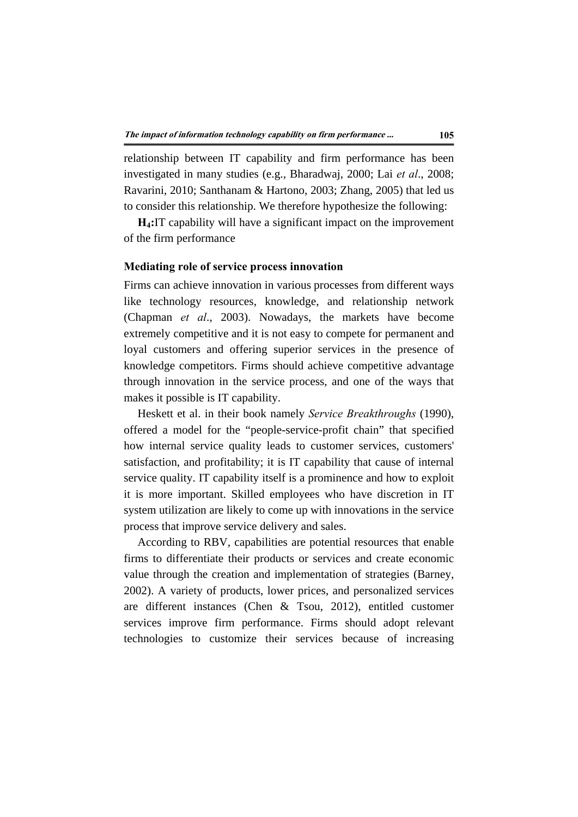relationship between IT capability and firm performance has been investigated in many studies (e.g., Bharadwaj, 2000; Lai *et al*., 2008; Ravarini, 2010; Santhanam & Hartono, 2003; Zhang, 2005) that led us to consider this relationship. We therefore hypothesize the following:

**H4:**IT capability will have a significant impact on the improvement of the firm performance

#### **Mediating role of service process innovation**

Firms can achieve innovation in various processes from different ways like technology resources, knowledge, and relationship network (Chapman *et al*., 2003). Nowadays, the markets have become extremely competitive and it is not easy to compete for permanent and loyal customers and offering superior services in the presence of knowledge competitors. Firms should achieve competitive advantage through innovation in the service process, and one of the ways that makes it possible is IT capability.

Heskett et al. in their book namely *Service Breakthroughs* (1990), offered a model for the "people-service-profit chain" that specified how internal service quality leads to customer services, customers' satisfaction, and profitability; it is IT capability that cause of internal service quality. IT capability itself is a prominence and how to exploit it is more important. Skilled employees who have discretion in IT system utilization are likely to come up with innovations in the service process that improve service delivery and sales.

According to RBV, capabilities are potential resources that enable firms to differentiate their products or services and create economic value through the creation and implementation of strategies (Barney, 2002). A variety of products, lower prices, and personalized services are different instances (Chen & Tsou, 2012), entitled customer services improve firm performance. Firms should adopt relevant technologies to customize their services because of increasing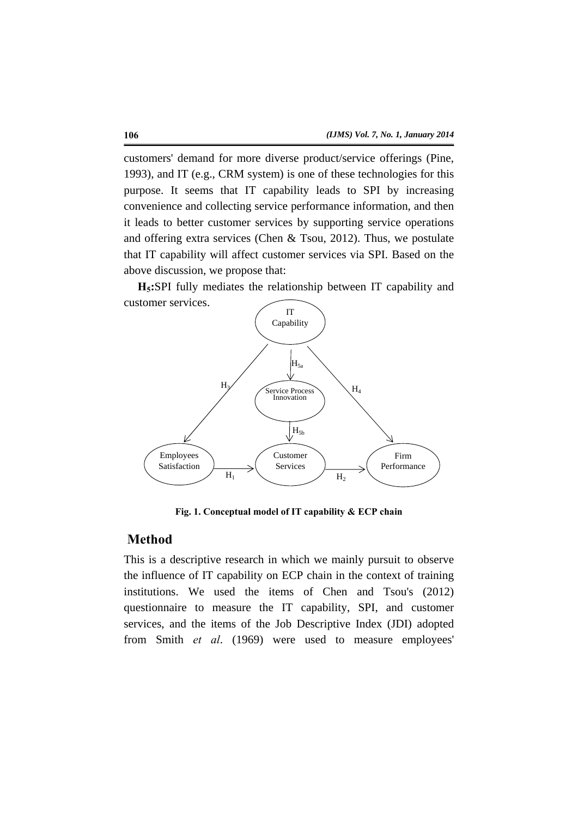customers' demand for more diverse product/service offerings (Pine, 1993), and IT (e.g., CRM system) is one of these technologies for this purpose. It seems that IT capability leads to SPI by increasing convenience and collecting service performance information, and then it leads to better customer services by supporting service operations and offering extra services (Chen & Tsou, 2012). Thus, we postulate that IT capability will affect customer services via SPI. Based on the above discussion, we propose that:

**H5:**SPI fully mediates the relationship between IT capability and customer services.



**Fig. 1. Conceptual model of IT capability & ECP chain** 

#### **Method**

This is a descriptive research in which we mainly pursuit to observe the influence of IT capability on ECP chain in the context of training institutions. We used the items of Chen and Tsou's (2012) questionnaire to measure the IT capability, SPI, and customer services, and the items of the Job Descriptive Index (JDI) adopted from Smith *et al*. (1969) were used to measure employees'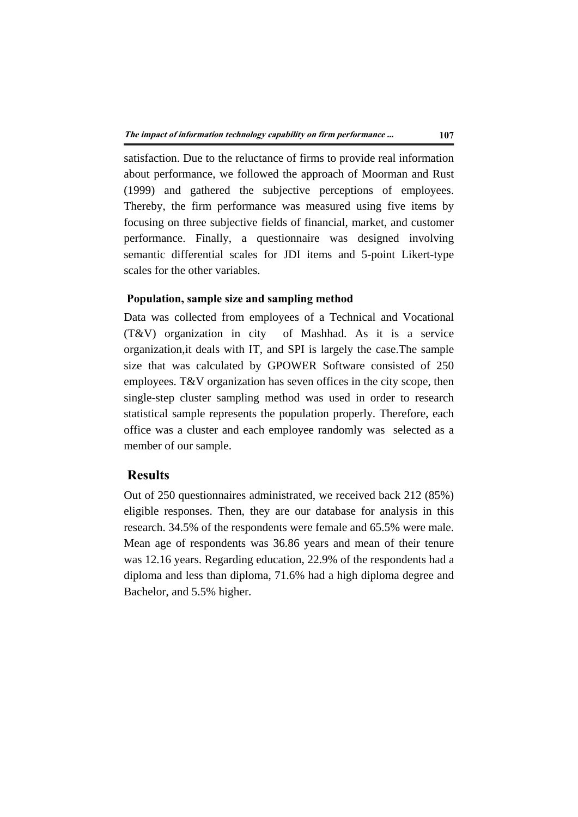satisfaction. Due to the reluctance of firms to provide real information about performance, we followed the approach of Moorman and Rust (1999) and gathered the subjective perceptions of employees. Thereby, the firm performance was measured using five items by focusing on three subjective fields of financial, market, and customer performance. Finally, a questionnaire was designed involving semantic differential scales for JDI items and 5-point Likert-type scales for the other variables.

#### **Population, sample size and sampling method**

Data was collected from employees of a Technical and Vocational (T&V) organization in city of Mashhad. As it is a service organization,it deals with IT, and SPI is largely the case.The sample size that was calculated by GPOWER Software consisted of 250 employees. T&V organization has seven offices in the city scope, then single-step cluster sampling method was used in order to research statistical sample represents the population properly. Therefore, each office was a cluster and each employee randomly was selected as a member of our sample.

# **Results**

Out of 250 questionnaires administrated, we received back 212 (85%) eligible responses. Then, they are our database for analysis in this research. 34.5% of the respondents were female and 65.5% were male. Mean age of respondents was 36.86 years and mean of their tenure was 12.16 years. Regarding education, 22.9% of the respondents had a diploma and less than diploma, 71.6% had a high diploma degree and Bachelor, and 5.5% higher.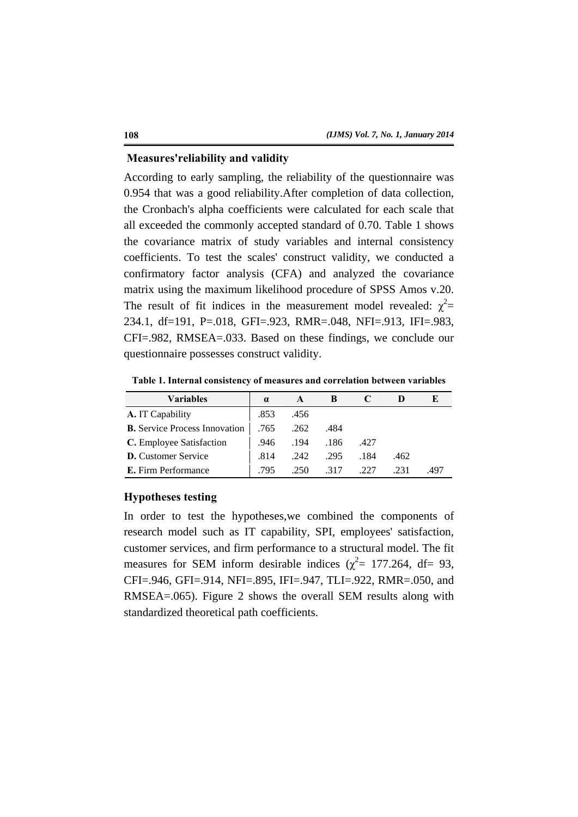#### **Measures'reliability and validity**

According to early sampling, the reliability of the questionnaire was 0.954 that was a good reliability.After completion of data collection, the Cronbach's alpha coefficients were calculated for each scale that all exceeded the commonly accepted standard of 0.70. Table 1 shows the covariance matrix of study variables and internal consistency coefficients. To test the scales' construct validity, we conducted a confirmatory factor analysis (CFA) and analyzed the covariance matrix using the maximum likelihood procedure of SPSS Amos v.20. The result of fit indices in the measurement model revealed:  $\chi^2$  = 234.1, df=191, P=.018, GFI=.923, RMR=.048, NFI=.913, IFI=.983, CFI=.982, RMSEA=.033. Based on these findings, we conclude our questionnaire possesses construct validity.

**Table 1. Internal consistency of measures and correlation between variables** 

| <b>Variables</b>                     | $\alpha$ |      |      |      |      |      |
|--------------------------------------|----------|------|------|------|------|------|
| A. IT Capability                     | .853     | .456 |      |      |      |      |
| <b>B.</b> Service Process Innovation | .765     | .262 | .484 |      |      |      |
| C. Employee Satisfaction             | .946     | .194 | .186 | .427 |      |      |
| <b>D.</b> Customer Service           | .814     | .242 | .295 | .184 | .462 |      |
| E. Firm Performance                  | .795     | .250 | .317 | .227 | .231 | .497 |

#### **Hypotheses testing**

In order to test the hypotheses,we combined the components of research model such as IT capability, SPI, employees' satisfaction, customer services, and firm performance to a structural model. The fit measures for SEM inform desirable indices ( $\chi^2$  = 177.264, df = 93, CFI=.946, GFI=.914, NFI=.895, IFI=.947, TLI=.922, RMR=.050, and RMSEA=.065). Figure 2 shows the overall SEM results along with standardized theoretical path coefficients.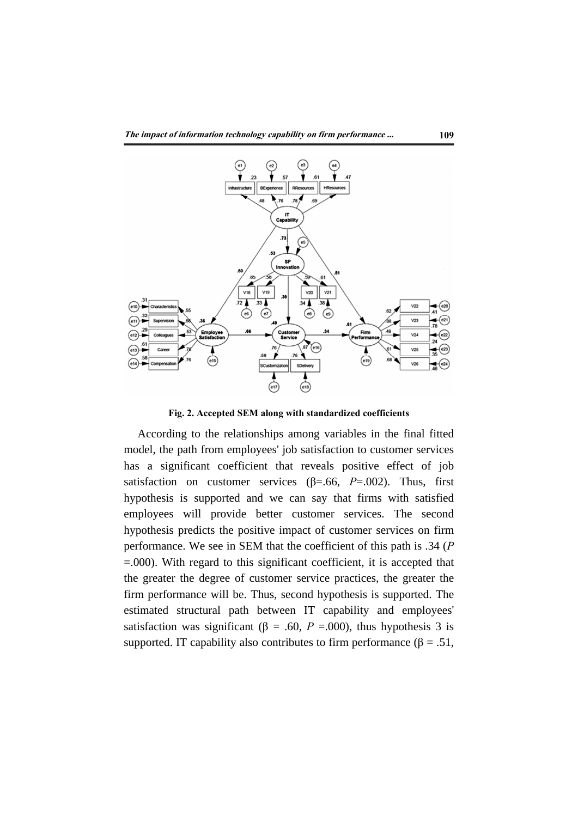

**Fig. 2. Accepted SEM along with standardized coefficients** 

According to the relationships among variables in the final fitted model, the path from employees' job satisfaction to customer services has a significant coefficient that reveals positive effect of job satisfaction on customer services ( $\beta$ =.66, *P*=.002). Thus, first hypothesis is supported and we can say that firms with satisfied employees will provide better customer services. The second hypothesis predicts the positive impact of customer services on firm performance. We see in SEM that the coefficient of this path is .34 (*P* =.000). With regard to this significant coefficient, it is accepted that the greater the degree of customer service practices, the greater the firm performance will be. Thus, second hypothesis is supported. The estimated structural path between IT capability and employees' satisfaction was significant ( $\beta = .60$ ,  $P = .000$ ), thus hypothesis 3 is supported. IT capability also contributes to firm performance ( $\beta = .51$ ,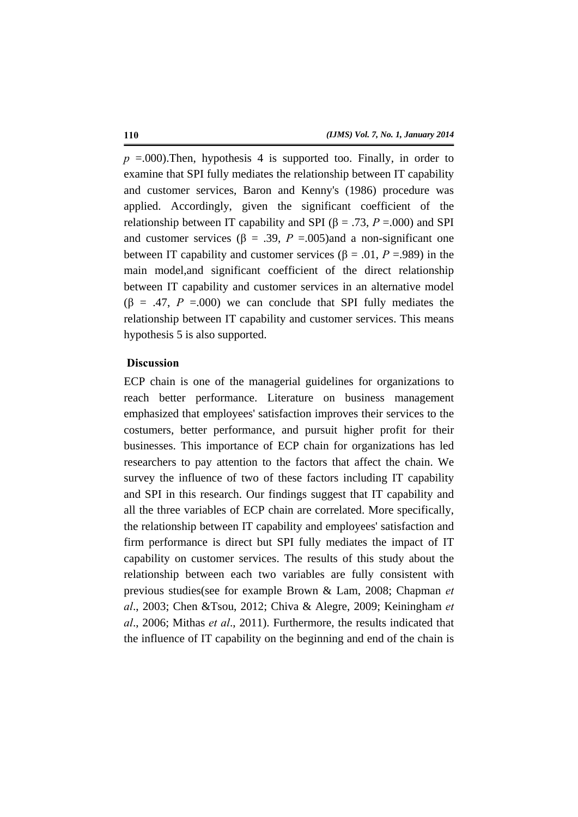$p = 0.000$ . Then, hypothesis 4 is supported too. Finally, in order to examine that SPI fully mediates the relationship between IT capability and customer services, Baron and Kenny's (1986) procedure was applied. Accordingly, given the significant coefficient of the relationship between IT capability and SPI ( $\beta$  = .73, *P* = .000) and SPI and customer services ( $\beta = .39$ ,  $P = .005$ )and a non-significant one between IT capability and customer services ( $\beta$  = .01, *P* = .989) in the main model,and significant coefficient of the direct relationship between IT capability and customer services in an alternative model  $(\beta = .47, P = .000)$  we can conclude that SPI fully mediates the relationship between IT capability and customer services. This means hypothesis 5 is also supported.

### **Discussion**

ECP chain is one of the managerial guidelines for organizations to reach better performance. Literature on business management emphasized that employees' satisfaction improves their services to the costumers, better performance, and pursuit higher profit for their businesses. This importance of ECP chain for organizations has led researchers to pay attention to the factors that affect the chain. We survey the influence of two of these factors including IT capability and SPI in this research. Our findings suggest that IT capability and all the three variables of ECP chain are correlated. More specifically, the relationship between IT capability and employees' satisfaction and firm performance is direct but SPI fully mediates the impact of IT capability on customer services. The results of this study about the relationship between each two variables are fully consistent with previous studies(see for example Brown & Lam, 2008; Chapman *et al*., 2003; Chen &Tsou, 2012; Chiva & Alegre, 2009; Keiningham *et al*., 2006; Mithas *et al*., 2011). Furthermore, the results indicated that the influence of IT capability on the beginning and end of the chain is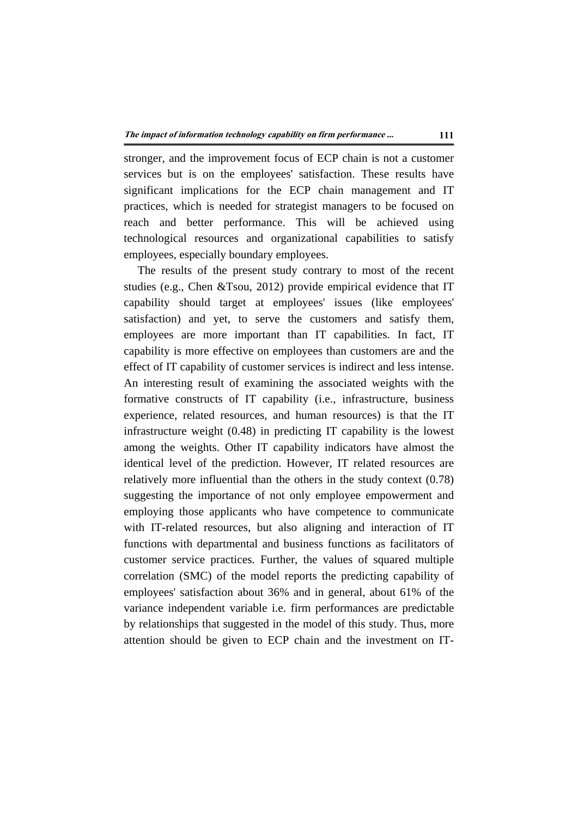stronger, and the improvement focus of ECP chain is not a customer services but is on the employees' satisfaction. These results have significant implications for the ECP chain management and IT practices, which is needed for strategist managers to be focused on reach and better performance. This will be achieved using technological resources and organizational capabilities to satisfy employees, especially boundary employees.

The results of the present study contrary to most of the recent studies (e.g., Chen &Tsou, 2012) provide empirical evidence that IT capability should target at employees' issues (like employees' satisfaction) and yet, to serve the customers and satisfy them, employees are more important than IT capabilities. In fact, IT capability is more effective on employees than customers are and the effect of IT capability of customer services is indirect and less intense. An interesting result of examining the associated weights with the formative constructs of IT capability (i.e., infrastructure, business experience, related resources, and human resources) is that the IT infrastructure weight (0.48) in predicting IT capability is the lowest among the weights. Other IT capability indicators have almost the identical level of the prediction. However, IT related resources are relatively more influential than the others in the study context (0.78) suggesting the importance of not only employee empowerment and employing those applicants who have competence to communicate with IT-related resources, but also aligning and interaction of IT functions with departmental and business functions as facilitators of customer service practices. Further, the values of squared multiple correlation (SMC) of the model reports the predicting capability of employees' satisfaction about 36% and in general, about 61% of the variance independent variable i.e. firm performances are predictable by relationships that suggested in the model of this study. Thus, more attention should be given to ECP chain and the investment on IT-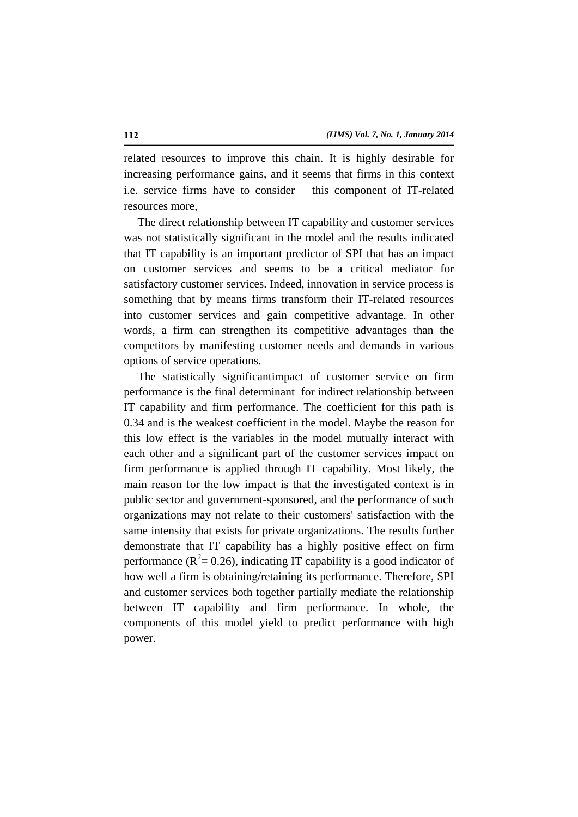related resources to improve this chain. It is highly desirable for increasing performance gains, and it seems that firms in this context i.e. service firms have to consider this component of IT-related resources more,

The direct relationship between IT capability and customer services was not statistically significant in the model and the results indicated that IT capability is an important predictor of SPI that has an impact on customer services and seems to be a critical mediator for satisfactory customer services. Indeed, innovation in service process is something that by means firms transform their IT-related resources into customer services and gain competitive advantage. In other words, a firm can strengthen its competitive advantages than the competitors by manifesting customer needs and demands in various options of service operations.

The statistically significantimpact of customer service on firm performance is the final determinant for indirect relationship between IT capability and firm performance. The coefficient for this path is 0.34 and is the weakest coefficient in the model. Maybe the reason for this low effect is the variables in the model mutually interact with each other and a significant part of the customer services impact on firm performance is applied through IT capability. Most likely, the main reason for the low impact is that the investigated context is in public sector and government-sponsored, and the performance of such organizations may not relate to their customers' satisfaction with the same intensity that exists for private organizations. The results further demonstrate that IT capability has a highly positive effect on firm performance ( $R^2$  = 0.26), indicating IT capability is a good indicator of how well a firm is obtaining/retaining its performance. Therefore, SPI and customer services both together partially mediate the relationship between IT capability and firm performance. In whole, the components of this model yield to predict performance with high power.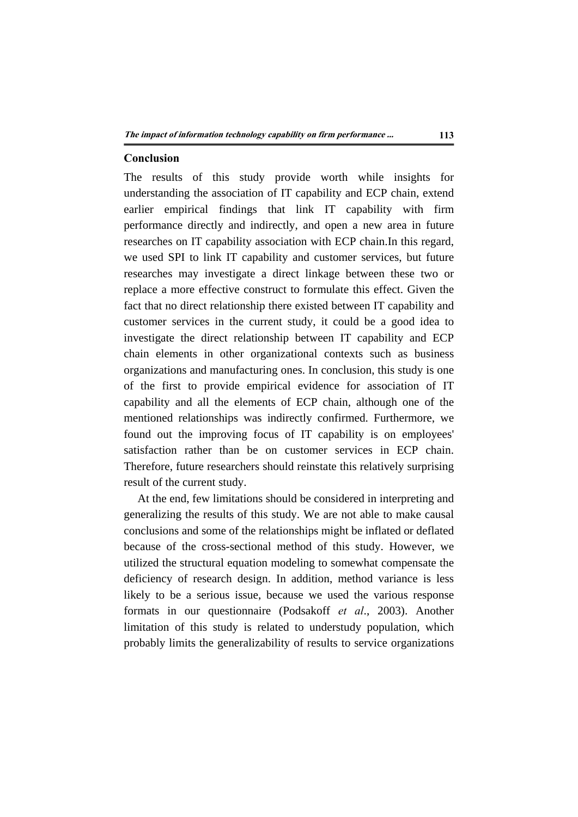#### **Conclusion**

The results of this study provide worth while insights for understanding the association of IT capability and ECP chain, extend earlier empirical findings that link IT capability with firm performance directly and indirectly, and open a new area in future researches on IT capability association with ECP chain.In this regard, we used SPI to link IT capability and customer services, but future researches may investigate a direct linkage between these two or replace a more effective construct to formulate this effect. Given the fact that no direct relationship there existed between IT capability and customer services in the current study, it could be a good idea to investigate the direct relationship between IT capability and ECP chain elements in other organizational contexts such as business organizations and manufacturing ones. In conclusion, this study is one of the first to provide empirical evidence for association of IT capability and all the elements of ECP chain, although one of the mentioned relationships was indirectly confirmed. Furthermore, we found out the improving focus of IT capability is on employees' satisfaction rather than be on customer services in ECP chain. Therefore, future researchers should reinstate this relatively surprising result of the current study.

At the end, few limitations should be considered in interpreting and generalizing the results of this study. We are not able to make causal conclusions and some of the relationships might be inflated or deflated because of the cross-sectional method of this study. However, we utilized the structural equation modeling to somewhat compensate the deficiency of research design. In addition, method variance is less likely to be a serious issue, because we used the various response formats in our questionnaire (Podsakoff *et al*., 2003). Another limitation of this study is related to understudy population, which probably limits the generalizability of results to service organizations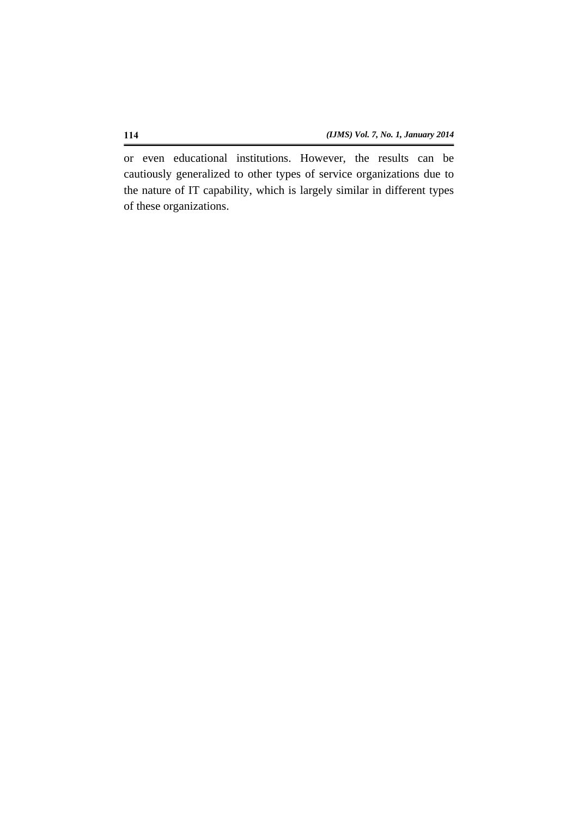or even educational institutions. However, the results can be cautiously generalized to other types of service organizations due to the nature of IT capability, which is largely similar in different types of these organizations.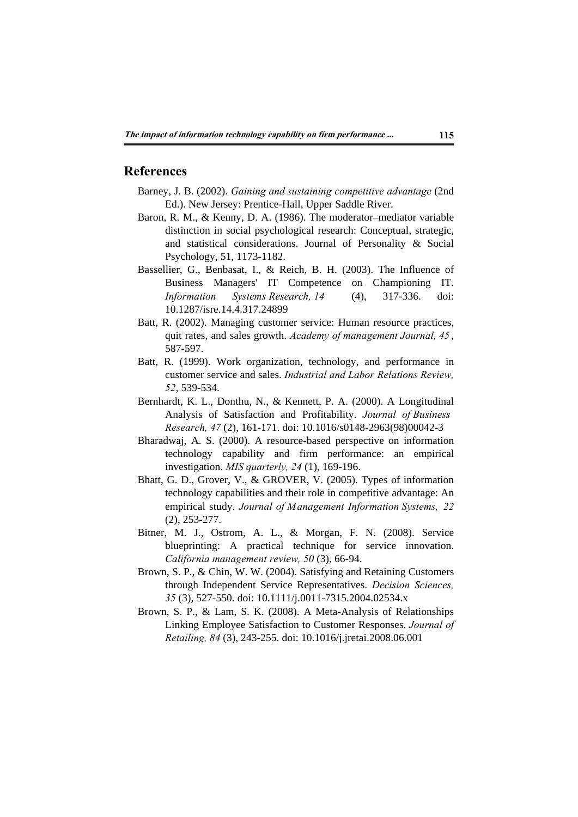### **References**

- Barney, J. B. (2002). *Gaining and sustaining competitive advantage* (2nd Ed.). New Jersey: Prentice-Hall, Upper Saddle River.
- Baron, R. M., & Kenny, D. A. (1986). The moderator–mediator variable distinction in social psychological research: Conceptual, strategic, and statistical considerations. Journal of Personality & Social Psychology, 51, 1173-1182.
- Bassellier, G., Benbasat, I., & Reich, B. H. (2003). The Influence of Business Managers' IT Competence on Championing IT. *Information Systems Research, 14* (4), 317-336. doi: 10.1287/isre.14.4.317.24899
- Batt, R. (2002). Managing customer service: Human resource practices, quit rates, and sales growth. *Academy of management Journal, 45* , 587-597.
- Batt, R. (1999). Work organization, technology, and performance in customer service and sales. *Industrial and Labor Relations Review, 52*, 539-534.
- Bernhardt, K. L., Donthu, N., & Kennett, P. A. (2000). A Longitudinal Analysis of Satisfaction and Profitability. *Journal of Business Research, 47* (2), 161-171. doi: 10.1016/s0148-2963(98)00042-3
- Bharadwaj, A. S. (2000). A resource-based perspective on information technology capability and firm performance: an empirical investigation. *MIS quarterly, 24* (1), 169-196.
- Bhatt, G. D., Grover, V., & GROVER, V. (2005). Types of information technology capabilities and their role in competitive advantage: An empirical study. *Journal of Management Information Systems, 22*  (2), 253-277.
- Bitner, M. J., Ostrom, A. L., & Morgan, F. N. (2008). Service blueprinting: A practical technique for service innovation. *California management review, 50* (3), 66-94.
- Brown, S. P., & Chin, W. W. (2004). Satisfying and Retaining Customers through Independent Service Representatives. *Decision Sciences, 35* (3), 527-550. doi: 10.1111/j.0011-7315.2004.02534.x
- Brown, S. P., & Lam, S. K. (2008). A Meta-Analysis of Relationships Linking Employee Satisfaction to Customer Responses. *Journal of Retailing, 84* (3), 243-255. doi: 10.1016/j.jretai.2008.06.001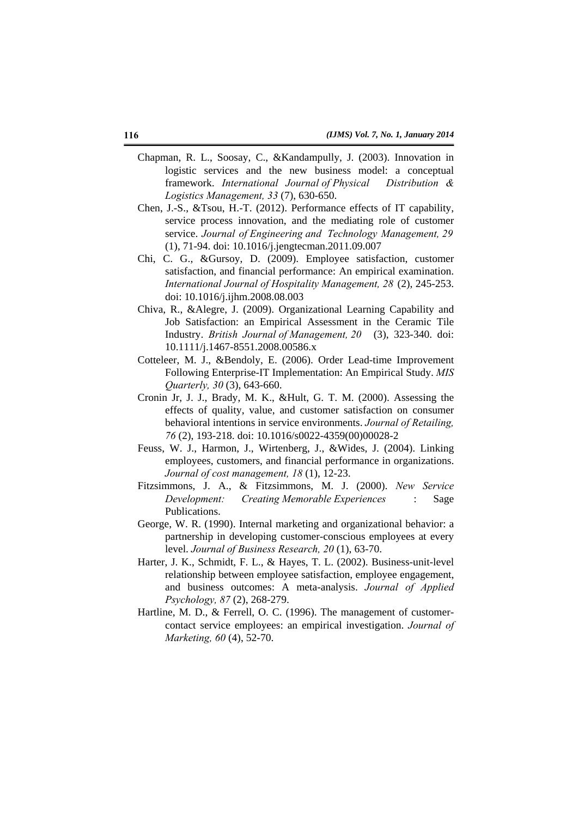- Chapman, R. L., Soosay, C., &Kandampully, J. (2003). Innovation in logistic services and the new business model: a conceptual framework. *International Journal of Physical Distribution & Logistics Management, 33* (7), 630-650.
- Chen, J.-S., &Tsou, H.-T. (2012). Performance effects of IT capability, service process innovation, and the mediating role of customer service. *Journal of Engineering and Technology Management, 29*  (1), 71-94. doi: 10.1016/j.jengtecman.2011.09.007
- Chi, C. G., &Gursoy, D. (2009). Employee satisfaction, customer satisfaction, and financial performance: An empirical examination. *International Journal of Hospitality Management, 28* (2), 245-253. doi: 10.1016/j.ijhm.2008.08.003
- Chiva, R., &Alegre, J. (2009). Organizational Learning Capability and Job Satisfaction: an Empirical Assessment in the Ceramic Tile Industry. *British Journal of Management, 20* (3), 323-340. doi: 10.1111/j.1467-8551.2008.00586.x
- Cotteleer, M. J., &Bendoly, E. (2006). Order Lead-time Improvement Following Enterprise-IT Implementation: An Empirical Study. *MIS Quarterly, 30* (3), 643-660.
- Cronin Jr, J. J., Brady, M. K., &Hult, G. T. M. (2000). Assessing the effects of quality, value, and customer satisfaction on consumer behavioral intentions in service environments. *Journal of Retailing, 76* (2), 193-218. doi: 10.1016/s0022-4359(00)00028-2
- Feuss, W. J., Harmon, J., Wirtenberg, J., &Wides, J. (2004). Linking employees, customers, and financial performance in organizations. *Journal of cost management, 18* (1), 12-23.
- Fitzsimmons, J. A., & Fitzsimmons, M. J. (2000). *New Service Development: Creating Memorable Experiences* : Sage Publications.
- George, W. R. (1990). Internal marketing and organizational behavior: a partnership in developing customer-conscious employees at every level. *Journal of Business Research, 20* (1), 63-70.
- Harter, J. K., Schmidt, F. L., & Hayes, T. L. (2002). Business-unit-level relationship between employee satisfaction, employee engagement, and business outcomes: A meta-analysis. *Journal of Applied Psychology, 87* (2), 268-279.
- Hartline, M. D., & Ferrell, O. C. (1996). The management of customercontact service employees: an empirical investigation. *Journal of Marketing, 60* (4), 52-70.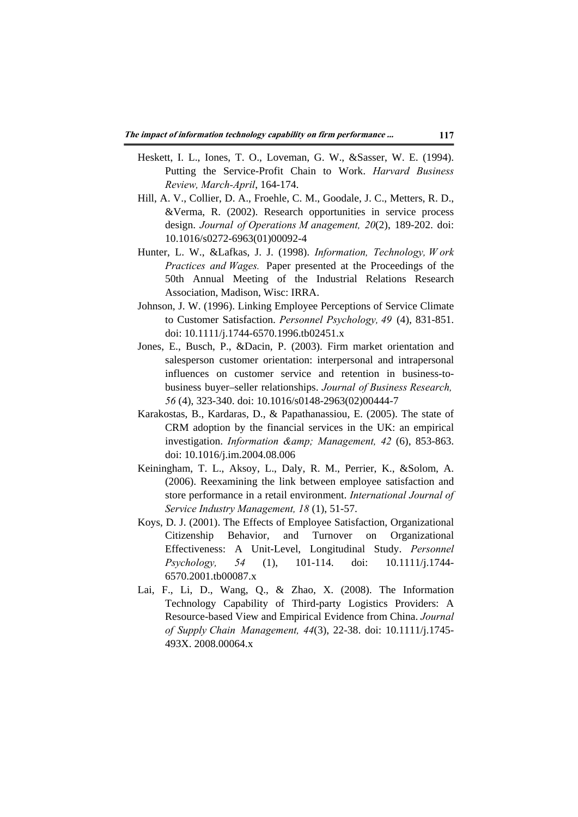- Heskett, I. L., Iones, T. O., Loveman, G. W., &Sasser, W. E. (1994). Putting the Service-Profit Chain to Work. *Harvard Business Review, March-April*, 164-174.
- Hill, A. V., Collier, D. A., Froehle, C. M., Goodale, J. C., Metters, R. D., &Verma, R. (2002). Research opportunities in service process design. *Journal of Operations M anagement, 20*(2), 189-202. doi: 10.1016/s0272-6963(01)00092-4
- Hunter, L. W., &Lafkas, J. J. (1998). *Information, Technology, W ork Practices and Wages.* Paper presented at the Proceedings of the 50th Annual Meeting of the Industrial Relations Research Association, Madison, Wisc: IRRA.
- Johnson, J. W. (1996). Linking Employee Perceptions of Service Climate to Customer Satisfaction. *Personnel Psychology, 49* (4), 831-851. doi: 10.1111/j.1744-6570.1996.tb02451.x
- Jones, E., Busch, P., &Dacin, P. (2003). Firm market orientation and salesperson customer orientation: interpersonal and intrapersonal influences on customer service and retention in business-tobusiness buyer–seller relationships. *Journal of Business Research, 56* (4), 323-340. doi: 10.1016/s0148-2963(02)00444-7
- Karakostas, B., Kardaras, D., & Papathanassiou, E. (2005). The state of CRM adoption by the financial services in the UK: an empirical investigation. *Information & amp: Management*, 42 (6), 853-863. doi: 10.1016/j.im.2004.08.006
- Keiningham, T. L., Aksoy, L., Daly, R. M., Perrier, K., &Solom, A. (2006). Reexamining the link between employee satisfaction and store performance in a retail environment. *International Journal of Service Industry Management, 18* (1), 51-57.
- Koys, D. J. (2001). The Effects of Employee Satisfaction, Organizational Citizenship Behavior, and Turnover on Organizational Effectiveness: A Unit-Level, Longitudinal Study. *Personnel Psychology, 54* (1), 101-114. doi: 10.1111/j.1744- 6570.2001.tb00087.x
- Lai, F., Li, D., Wang, Q., & Zhao, X. (2008). The Information Technology Capability of Third-party Logistics Providers: A Resource-based View and Empirical Evidence from China. *Journal of Supply Chain Management, 44*(3), 22-38. doi: 10.1111/j.1745- 493X. 2008.00064.x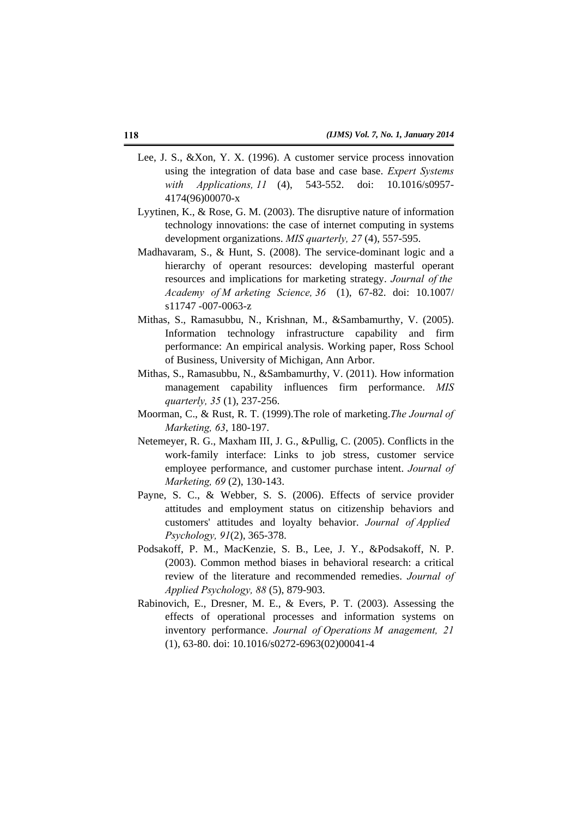- Lee, J. S., &Xon, Y. X. (1996). A customer service process innovation using the integration of data base and case base. *Expert Systems with Applications, 11* (4), 543-552. doi: 10.1016/s0957- 4174(96)00070-x
- Lyytinen, K., & Rose, G. M. (2003). The disruptive nature of information technology innovations: the case of internet computing in systems development organizations. *MIS quarterly, 27* (4), 557-595.
- Madhavaram, S., & Hunt, S. (2008). The service-dominant logic and a hierarchy of operant resources: developing masterful operant resources and implications for marketing strategy. *Journal of the Academy of M arketing Science, 36* (1), 67-82. doi: 10.1007/ s11747 -007-0063-z
- Mithas, S., Ramasubbu, N., Krishnan, M., &Sambamurthy, V. (2005). Information technology infrastructure capability and firm performance: An empirical analysis. Working paper, Ross School of Business, University of Michigan, Ann Arbor.
- Mithas, S., Ramasubbu, N., &Sambamurthy, V. (2011). How information management capability influences firm performance. *MIS quarterly, 35* (1), 237-256.
- Moorman, C., & Rust, R. T. (1999).The role of marketing.*The Journal of Marketing, 63*, 180-197.
- Netemeyer, R. G., Maxham III, J. G., &Pullig, C. (2005). Conflicts in the work-family interface: Links to job stress, customer service employee performance, and customer purchase intent. *Journal of Marketing, 69* (2), 130-143.
- Payne, S. C., & Webber, S. S. (2006). Effects of service provider attitudes and employment status on citizenship behaviors and customers' attitudes and loyalty behavior. *Journal of Applied Psychology, 91*(2), 365-378.
- Podsakoff, P. M., MacKenzie, S. B., Lee, J. Y., &Podsakoff, N. P. (2003). Common method biases in behavioral research: a critical review of the literature and recommended remedies. *Journal of Applied Psychology, 88* (5), 879-903.
- Rabinovich, E., Dresner, M. E., & Evers, P. T. (2003). Assessing the effects of operational processes and information systems on inventory performance. *Journal of Operations M anagement, 21*  (1), 63-80. doi: 10.1016/s0272-6963(02)00041-4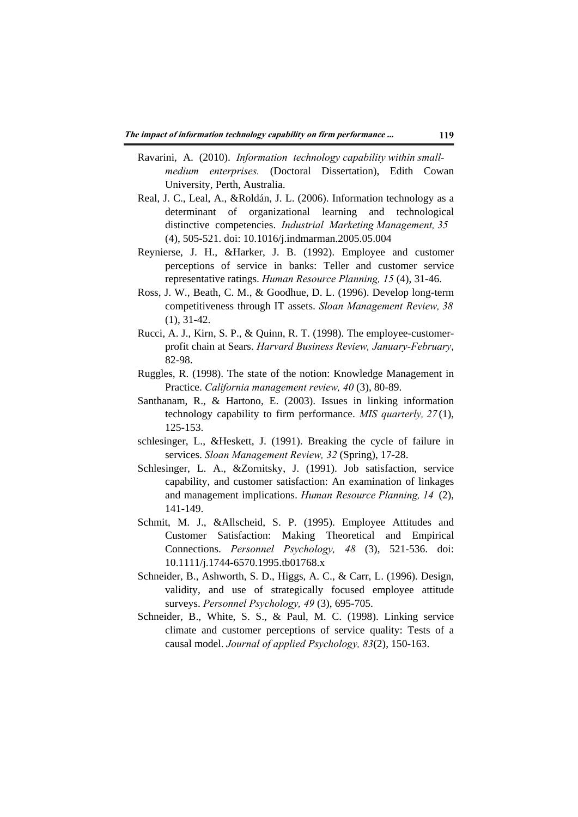- Ravarini, A. (2010). *Information technology capability within smallmedium enterprises.* (Doctoral Dissertation), Edith Cowan University, Perth, Australia.
- Real, J. C., Leal, A., &Roldán, J. L. (2006). Information technology as a determinant of organizational learning and technological distinctive competencies. *Industrial Marketing Management, 35*  (4), 505-521. doi: 10.1016/j.indmarman.2005.05.004
- Reynierse, J. H., &Harker, J. B. (1992). Employee and customer perceptions of service in banks: Teller and customer service representative ratings. *Human Resource Planning, 15* (4), 31-46.
- Ross, J. W., Beath, C. M., & Goodhue, D. L. (1996). Develop long-term competitiveness through IT assets. *Sloan Management Review, 38*  (1), 31-42.
- Rucci, A. J., Kirn, S. P., & Quinn, R. T. (1998). The employee-customerprofit chain at Sears. *Harvard Business Review, January-February*, 82-98.
- Ruggles, R. (1998). The state of the notion: Knowledge Management in Practice. *California management review, 40* (3), 80-89.
- Santhanam, R., & Hartono, E. (2003). Issues in linking information technology capability to firm performance. *MIS quarterly, 27* (1), 125-153.
- schlesinger, L., &Heskett, J. (1991). Breaking the cycle of failure in services. *Sloan Management Review, 32* (Spring), 17-28.
- Schlesinger, L. A., &Zornitsky, J. (1991). Job satisfaction, service capability, and customer satisfaction: An examination of linkages and management implications. *Human Resource Planning, 14* (2), 141-149.
- Schmit, M. J., &Allscheid, S. P. (1995). Employee Attitudes and Customer Satisfaction: Making Theoretical and Empirical Connections. *Personnel Psychology, 48* (3), 521-536. doi: 10.1111/j.1744-6570.1995.tb01768.x
- Schneider, B., Ashworth, S. D., Higgs, A. C., & Carr, L. (1996). Design, validity, and use of strategically focused employee attitude surveys. *Personnel Psychology, 49* (3), 695-705.
- Schneider, B., White, S. S., & Paul, M. C. (1998). Linking service climate and customer perceptions of service quality: Tests of a causal model. *Journal of applied Psychology, 83*(2), 150-163.